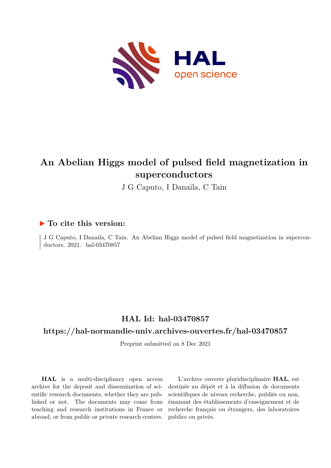

# **An Abelian Higgs model of pulsed field magnetization in superconductors**

J G Caputo, I Danaila, C Tain

## **To cite this version:**

J G Caputo, I Danaila, C Tain. An Abelian Higgs model of pulsed field magnetization in superconductors. 2021. hal-03470857

## **HAL Id: hal-03470857**

### **<https://hal-normandie-univ.archives-ouvertes.fr/hal-03470857>**

Preprint submitted on 8 Dec 2021

**HAL** is a multi-disciplinary open access archive for the deposit and dissemination of scientific research documents, whether they are published or not. The documents may come from teaching and research institutions in France or abroad, or from public or private research centers.

L'archive ouverte pluridisciplinaire **HAL**, est destinée au dépôt et à la diffusion de documents scientifiques de niveau recherche, publiés ou non, émanant des établissements d'enseignement et de recherche français ou étrangers, des laboratoires publics ou privés.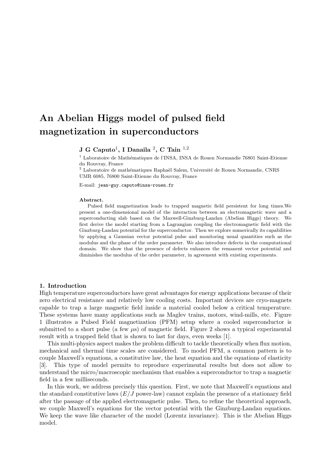# An Abelian Higgs model of pulsed field magnetization in superconductors

#### $\, {\bf J} \, \, {\bf G} \, \, {\rm Caputo}^1, \, {\bf I} \,$  Danaila  $\,{}^2, \, {\bf C} \,$  Tain  $\,{}^{1,2}$

 $1$  Laboratoire de Mathématiques de l'INSA, INSA de Rouen Normandie 76801 Saint-Etienne du Rouvray, France

 $^2$  Laboratoire de mathématiques Raphaël Salem, Université de Rouen Normandie, CNRS UMR 6085, 76800 Saint-Etienne du Rouvray, France

E-mail: jean-guy.caputo@insa-rouen.fr

#### Abstract.

Pulsed field magnetization leads to trapped magnetic field persistent for long times.We present a one-dimensional model of the interaction between an electromagnetic wave and a superconducting slab based on the Maxwell-Ginzburg-Landau (Abelian Higgs) theory. We first derive the model starting from a Lagrangian coupling the electromagnetic field with the Ginzburg-Landau potential for the superconductor. Then we explore numerically its capabilities by applying a Gaussian vector potential pulse and monitoring usual quantities such as the modulus and the phase of the order parameter. We also introduce defects in the computational domain. We show that the presence of defects enhances the remanent vector potential and diminishes the modulus of the order parameter, in agreement with existing experiments.

#### 1. Introduction

High temperature superconductors have great advantages for energy applications because of their zero electrical resistance and relatively low cooling costs. Important devices are cryo-magnets capable to trap a large magnetic field inside a material cooled below a critical temperature. These systems have many applications such as Maglev trains, motors, wind-mills, etc. Figure 1 illustrates a Pulsed Field magnetization (PFM) setup where a cooled superconductor is submitted to a short pulse (a few  $\mu$ s) of magnetic field. Figure 2 shows a typical experimental result with a trapped field that is shown to last for days, even weeks [1].

This multi-physics aspect makes the problem difficult to tackle theoretically when flux motion, mechanical and thermal time scales are considered. To model PFM, a common pattern is to couple Maxwell's equations, a constitutive law, the heat equation and the equations of elasticity [3]. This type of model permits to reproduce experimental results but does not allow to understand the micro/macroscopic mechanism that enables a superconductor to trap a magnetic field in a few milliseconds.

In this work, we address precisely this question. First, we note that Maxwell's equations and the standard constitutive laws  $(E/J)$  power-law) cannot explain the presence of a stationary field after the passage of the applied electromagnetic pulse. Then, to refine the theoretical approach, we couple Maxwell's equations for the vector potential with the Ginzburg-Landau equations. We keep the wave like character of the model (Lorentz invariance). This is the Abelian Higgs model.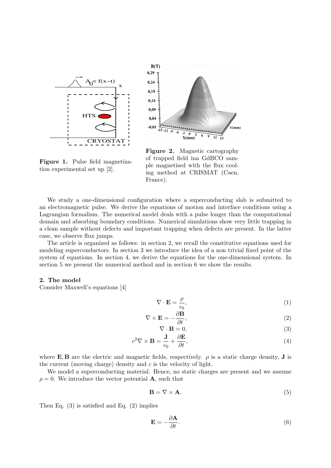

Figure 1. Pulse field magnetiza-

tion experimental set up [2].



Figure 2. Magnetic cartography of trapped field ina GdBCO sample magnetised with the flux cooling method at CRISMAT (Caen, France).

We study a one-dimensional configuration where a superconducting slab is submitted to an electromagnetic pulse. We derive the equations of motion and interface conditions using a Lagrangian formalism. The numerical model deals with a pulse longer than the computational domain and absorbing boundary conditions. Numerical simulations show very little trapping in a clean sample without defects and important trapping when defects are present. In the latter case, we observe flux jumps.

The article is organized as follows: in section 2, we recall the constitutive equations used for modeling superconductors. In section 3 we introduce the idea of a non trivial fixed point of the system of equations. In section 4, we derive the equations for the one-dimensional system. In section 5 we present the numerical method and in section 6 we show the results.

#### 2. The model

Consider Maxwell's equations [4]

$$
\nabla \cdot \mathbf{E} = \frac{\rho}{\epsilon_0},\tag{1}
$$

$$
\nabla \times \mathbf{E} = -\frac{\partial \mathbf{B}}{\partial t},\tag{2}
$$

$$
\nabla \cdot \mathbf{B} = 0,\tag{3}
$$

$$
c^2 \nabla \times \mathbf{B} = \frac{\mathbf{J}}{\epsilon_0} + \frac{\partial \mathbf{E}}{\partial t},\tag{4}
$$

where E, B are the electric and magnetic fields, respectively.  $\rho$  is a static charge density, J is the current (moving charge) density and  $c$  is the velocity of light.

We model a superconducting material. Hence, no static charges are present and we assume  $\rho = 0$ . We introduce the vector potential **A**, such that

$$
\mathbf{B} = \nabla \times \mathbf{A}.\tag{5}
$$

Then Eq. (3) is satisfied and Eq. (2) implies

$$
\mathbf{E} = -\frac{\partial \mathbf{A}}{\partial t}.\tag{6}
$$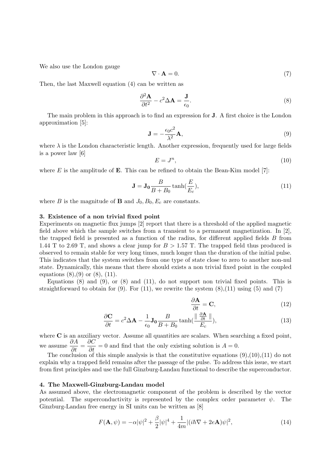We also use the London gauge

$$
\nabla \cdot \mathbf{A} = 0. \tag{7}
$$

Then, the last Maxwell equation (4) can be written as

$$
\frac{\partial^2 \mathbf{A}}{\partial t^2} - c^2 \Delta \mathbf{A} = \frac{\mathbf{J}}{\epsilon_0}.
$$
 (8)

The main problem in this approach is to find an expression for J. A first choice is the London approximation [5]:

$$
\mathbf{J} = -\frac{\epsilon_0 c^2}{\lambda^2} \mathbf{A},\tag{9}
$$

where  $\lambda$  is the London characteristic length. Another expression, frequently used for large fields is a power law [6]

$$
E = J^n,\tag{10}
$$

where  $E$  is the amplitude of **E**. This can be refined to obtain the Bean-Kim model [7]:

$$
\mathbf{J} = \mathbf{J}_0 \frac{B}{B + B_0} \tanh(\frac{E}{E_c}),\tag{11}
$$

where B is the magnitude of **B** and  $J_0$ ,  $B_0$ ,  $E_c$  are constants.

#### 3. Existence of a non trivial fixed point

Experiments on magnetic flux jumps [2] report that there is a threshold of the applied magnetic field above which the sample switches from a transient to a permanent magnetization. In [2], the trapped field is presented as a function of the radius, for different applied fields B from 1.44 T to 2.69 T, and shows a clear jump for  $B > 1.57$  T. The trapped field thus produced is observed to remain stable for very long times, much longer than the duration of the initial pulse. This indicates that the system switches from one type of state close to zero to another non-nul state. Dynamically, this means that there should exists a non trivial fixed point in the coupled equations  $(8)(.9)$  or  $(8)(.11)$ .

Equations  $(8)$  and  $(9)$ , or  $(8)$  and  $(11)$ , do not support non trivial fixed points. This is straightforward to obtain for  $(9)$ . For  $(11)$ , we rewrite the system  $(8),(11)$  using  $(5)$  and  $(7)$ 

$$
\frac{\partial \mathbf{A}}{\partial t} = \mathbf{C},\tag{12}
$$

$$
\frac{\partial \mathbf{C}}{\partial t} = c^2 \Delta \mathbf{A} - \frac{1}{\epsilon_0} \mathbf{J}_0 \frac{B}{B + B_0} \tanh(\frac{\|\frac{\partial \mathbf{A}}{\partial t}\|}{E_c}),\tag{13}
$$

where C is an auxiliary vector. Assume all quantities are scalars. When searching a fixed point, we assume  $\frac{\partial A}{\partial t} = \frac{\partial C}{\partial t} = 0$  and find that the only existing solution is  $A = 0$ .

The conclusion of this simple analysis is that the constitutive equations  $(9),(10),(11)$  do not explain why a trapped field remains after the passage of the pulse. To address this issue, we start from first principles and use the full Ginzburg-Landau functional to describe the superconductor.

#### 4. The Maxwell-Ginzburg-Landau model

As assumed above, the electromagnetic component of the problem is described by the vector potential. The superconductivity is represented by the complex order parameter  $\psi$ . The Ginzburg-Landau free energy in SI units can be written as [8]

$$
F(\mathbf{A}, \psi) = -\alpha |\psi|^2 + \frac{\beta}{2} |\psi|^4 + \frac{1}{4m} |(i\hbar \nabla + 2e\mathbf{A})\psi|^2,
$$
\n(14)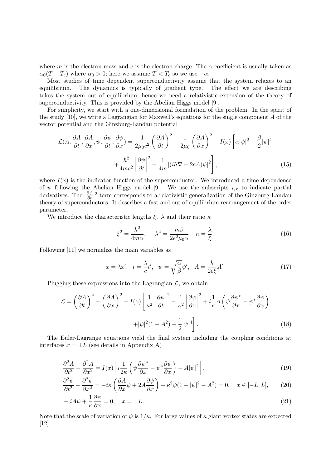where m is the electron mass and e is the electron charge. The  $\alpha$  coefficient is usually taken as  $\alpha_0(T - T_c)$  where  $\alpha_0 > 0$ ; here we assume  $T < T_c$  so we use  $-\alpha$ .

Most studies of time dependent superconductivity assume that the system relaxes to an equilibrium. The dynamics is typically of gradient type. The effect we are describing takes the system out of equilibrium, hence we need a relativistic extension of the theory of superconductivity. This is provided by the Abelian Higgs model [9].

For simplicity, we start with a one-dimensional formulation of the problem. In the spirit of the study [10], we write a Lagrangian for Maxwell's equations for the single component A of the vector potential and the Ginzburg-Landau potential

$$
\mathcal{L}(A, \frac{\partial A}{\partial t}, \frac{\partial A}{\partial x}, \psi, \frac{\partial \psi}{\partial t}, \frac{\partial \psi}{\partial x}) = \frac{1}{2\mu_0 c^2} \left(\frac{\partial A}{\partial t}\right)^2 - \frac{1}{2\mu_0} \left(\frac{\partial A}{\partial x}\right)^2 + I(x) \left[\alpha |\psi|^2 - \frac{\beta}{2} |\psi|^4 + \frac{\hbar^2}{4mc^2} \left|\frac{\partial \psi}{\partial t}\right|^2 - \frac{1}{4m} |(i\hbar \nabla + 2eA)\psi|^2\right],
$$
\n(15)

where  $I(x)$  is the indicator function of the superconductor. We introduced a time dependence of  $\psi$  following the Abelian Higgs model [9]. We use the subscripts  $_{t,x}$  to indicate partial derivatives. The  $\frac{\partial \psi}{\partial t}$  term corresponds to a relativistic generalization of the Ginzburg-Landau theory of superconductors. It describes a fast and out of equilibrium rearrangement of the order parameter.

We introduce the characteristic lengths  $\xi$ ,  $\lambda$  and their ratio  $\kappa$ 

$$
\xi^2 = \frac{\hbar^2}{4m\alpha}, \quad \lambda^2 = \frac{m\beta}{2e^2\mu_0\alpha}, \quad \kappa = \frac{\lambda}{\xi}.
$$
 (16)

Following [11] we normalize the main variables as

$$
x = \lambda x', \quad t = \frac{\lambda}{c}t', \quad \psi = \sqrt{\frac{\alpha}{\beta}}\psi', \quad A = \frac{\hbar}{2e\xi}A'.
$$
 (17)

Plugging these expressions into the Lagrangian  $\mathcal{L}$ , we obtain

$$
\mathcal{L} = \left(\frac{\partial A}{\partial t}\right)^2 - \left(\frac{\partial A}{\partial x}\right)^2 + I(x)\left[\frac{1}{\kappa^2} \left|\frac{\partial \psi}{\partial t}\right|^2 - \frac{1}{\kappa^2} \left|\frac{\partial \psi}{\partial x}\right|^2 + i\frac{1}{\kappa}A\left(\psi\frac{\partial \psi^*}{\partial x} - \psi^*\frac{\partial \psi}{\partial x}\right) + |\psi|^2(1 - A^2) - \frac{1}{2}|\psi|^4\right].
$$
\n(18)

The Euler-Lagrange equations yield the final system including the coupling conditions at interfaces  $x = \pm L$  (see details in Appendix A)

$$
\frac{\partial^2 A}{\partial t^2} - \frac{\partial^2 A}{\partial x^2} = I(x) \left[ i \frac{1}{2\kappa} \left( \psi \frac{\partial \psi^*}{\partial x} - \psi^* \frac{\partial \psi}{\partial x} \right) - A |\psi|^2 \right],\tag{19}
$$

$$
\frac{\partial^2 \psi}{\partial t^2} - \frac{\partial^2 \psi}{\partial x^2} = -i\kappa \left( \frac{\partial A}{\partial x} \psi + 2A \frac{\partial \psi}{\partial x} \right) + \kappa^2 \psi (1 - |\psi|^2 - A^2) = 0, \quad x \in [-L, L],\tag{20}
$$

$$
-iA\psi + \frac{1}{\kappa} \frac{\partial \psi}{\partial x} = 0, \quad x = \pm L.
$$
\n(21)

Note that the scale of variation of  $\psi$  is  $1/\kappa$ . For large values of  $\kappa$  giant vortex states are expected [12].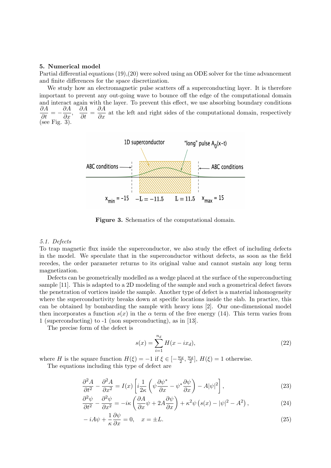#### 5. Numerical model

Partial differential equations (19),(20) were solved using an ODE solver for the time advancement and finite differences for the space discretization.

We study how an electromagnetic pulse scatters off a superconducting layer. It is therefore important to prevent any out-going wave to bounce off the edge of the computational domain and interact again with the layer. To prevent this effect, we use absorbing boundary conditions  $rac{\partial A}{\partial t} = -\frac{\partial A}{\partial x},$  $\frac{\partial A}{\partial t} = \frac{\partial A}{\partial x}$  at the left and right sides of the computational domain, respectively (see Fig. 3).



Figure 3. Schematics of the computational domain.

#### 5.1. Defects

To trap magnetic flux inside the superconductor, we also study the effect of including defects in the model. We speculate that in the superconductor without defects, as soon as the field recedes, the order parameter returns to its original value and cannot sustain any long term magnetization.

Defects can be geometrically modelled as a wedge placed at the surface of the superconducting sample [11]. This is adapted to a 2D modeling of the sample and such a geometrical defect favors the penetration of vortices inside the sample. Another type of defect is a material inhomogeneity where the superconductivity breaks down at specific locations inside the slab. In practice, this can be obtained by bombarding the sample with heavy ions [2]. Our one-dimensional model then incorporates a function  $s(x)$  in the  $\alpha$  term of the free energy (14). This term varies from 1 (superconducting) to -1 (non superconducting), as in [13].

The precise form of the defect is

$$
s(x) = \sum_{i=1}^{n_d} H(x - ix_d),
$$
\n(22)

where H is the square function  $H(\xi) = -1$  if  $\xi \in [-\frac{w_d}{2}, \frac{w_d}{2}]$ ,  $H(\xi) = 1$  otherwise.

The equations including this type of defect are

$$
\frac{\partial^2 A}{\partial t^2} - \frac{\partial^2 A}{\partial x^2} = I(x) \left[ i \frac{1}{2\kappa} \left( \psi \frac{\partial \psi^*}{\partial x} - \psi^* \frac{\partial \psi}{\partial x} \right) - A |\psi|^2 \right],\tag{23}
$$

$$
\frac{\partial^2 \psi}{\partial t^2} - \frac{\partial^2 \psi}{\partial x^2} = -i\kappa \left( \frac{\partial A}{\partial x} \psi + 2A \frac{\partial \psi}{\partial x} \right) + \kappa^2 \psi \left( s(x) - |\psi|^2 - A^2 \right),\tag{24}
$$

$$
-iA\psi + \frac{1}{\kappa} \frac{\partial \psi}{\partial x} = 0, \quad x = \pm L. \tag{25}
$$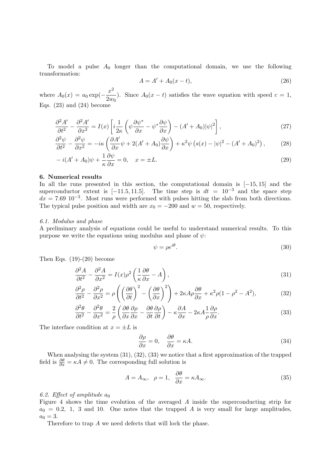To model a pulse  $A_0$  longer than the computational domain, we use the following transformation:

$$
A = A' + A_0(x - t),
$$
\n(26)

where  $A_0(x) = a_0 \exp(-\frac{x^2}{2x})$  $\frac{2w}{2w_0}$ . Since  $A_0(x-t)$  satisfies the wave equation with speed  $c=1$ , Eqs.  $(23)$  and  $(24)$  become

$$
\frac{\partial^2 A'}{\partial t^2} - \frac{\partial^2 A'}{\partial x^2} = I(x) \left[ i \frac{1}{2\kappa} \left( \psi \frac{\partial \psi^*}{\partial x} - \psi^* \frac{\partial \psi}{\partial x} \right) - (A' + A_0) |\psi|^2 \right],\tag{27}
$$

$$
\frac{\partial^2 \psi}{\partial t^2} - \frac{\partial^2 \psi}{\partial x^2} = -i\kappa \left( \frac{\partial A'}{\partial x} \psi + 2(A' + A_0) \frac{\partial \psi}{\partial x} \right) + \kappa^2 \psi \left( s(x) - |\psi|^2 - (A' + A_0)^2 \right),\tag{28}
$$

$$
-i(A' + A_0)\psi + \frac{1}{\kappa}\frac{\partial\psi}{\partial x} = 0, \quad x = \pm L.
$$
\n(29)

#### 6. Numerical results

In all the runs presented in this section, the computational domain is [−15, 15] and the superconductor extent is [−11.5, 11.5]. The time step is  $dt = 10^{-3}$  and the space step  $dx = 7.69 \, 10^{-3}$ . Most runs were performed with pulses hitting the slab from both directions. The typical pulse position and width are  $x_0 = -200$  and  $w = 50$ , respectively.

#### 6.1. Modulus and phase

A preliminary analysis of equations could be useful to understand numerical results. To this purpose we write the equations using modulus and phase of  $\psi$ :

$$
\psi = \rho e^{i\theta}.\tag{30}
$$

Then Eqs.  $(19)-(20)$  become

$$
\frac{\partial^2 A}{\partial t^2} - \frac{\partial^2 A}{\partial x^2} = I(x)\rho^2 \left(\frac{1}{\kappa} \frac{\partial \theta}{\partial x} - A\right),\tag{31}
$$

$$
\frac{\partial^2 \rho}{\partial t^2} - \frac{\partial^2 \rho}{\partial x^2} = \rho \left( \left( \frac{\partial \theta}{\partial t} \right)^2 - \left( \frac{\partial \theta}{\partial x} \right)^2 \right) + 2\kappa A \rho \frac{\partial \theta}{\partial x} + \kappa^2 \rho (1 - \rho^2 - A^2),\tag{32}
$$

$$
\frac{\partial^2 \theta}{\partial t^2} - \frac{\partial^2 \theta}{\partial x^2} = \frac{2}{\rho} \left( \frac{\partial \theta}{\partial x} \frac{\partial \rho}{\partial x} - \frac{\partial \theta}{\partial t} \frac{\partial \rho}{\partial t} \right) - \kappa \frac{\partial A}{\partial x} - 2\kappa A \frac{1}{\rho} \frac{\partial \rho}{\partial x}.
$$
(33)

The interface condition at  $x = \pm L$  is

$$
\frac{\partial \rho}{\partial x} = 0, \quad \frac{\partial \theta}{\partial x} = \kappa A. \tag{34}
$$

When analysing the system (31), (32), (33) we notice that a first approximation of the trapped field is  $\frac{\partial \theta}{\partial x} = \kappa A \neq 0$ . The corresponding full solution is

$$
A = A_{\infty}, \quad \rho = 1, \quad \frac{\partial \theta}{\partial x} = \kappa A_{\infty}.
$$
\n(35)

#### 6.2. Effect of amplitude  $a_0$

Figure 4 shows the time evolution of the averaged A inside the superconducting strip for  $a_0 = 0.2, 1, 3$  and 10. One notes that the trapped A is very small for large amplitudes,  $a_0 = 3.$ 

Therefore to trap A we need defects that will lock the phase.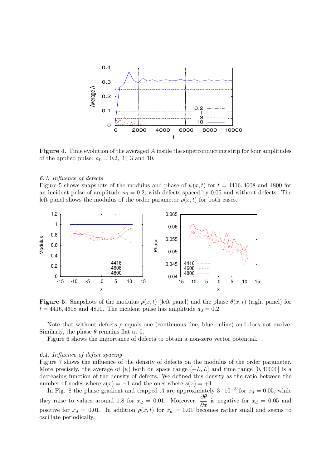

Figure 4. Time evolution of the averaged A inside the superconducting strip for four amplitudes of the applied pulse:  $a_0 = 0.2, 1, 3$  and 10.

#### 6.3. Influence of defects

Figure 5 shows snapshots of the modulus and phase of  $\psi(x, t)$  for  $t = 4416, 4608$  and 4800 for an incident pulse of amplitude  $a_0 = 0.2$ , with defects spaced by 0.05 and without defects. The left panel shows the modulus of the order parameter  $\rho(x, t)$  for both cases.



**Figure 5.** Snapshots of the modulus  $\rho(x, t)$  (left panel) and the phase  $\theta(x, t)$  (right panel) for  $t = 4416, 4608$  and 4800. The incident pulse has amplitude  $a_0 = 0.2$ .

Note that without defects  $\rho$  equals one (continuous line, blue online) and does not evolve. Similarly, the phase  $\theta$  remains flat at 0.

Figure 6 shows the importance of defects to obtain a non-zero vector potential.

#### 6.4. Influence of defect spacing

Figure 7 shows the influence of the density of defects on the modulus of the order parameter. More precisely, the average of  $|\psi|$  both on space range  $[-L, L]$  and time range [0,40000] is a decreasing function of the density of defects. We defined this density as the ratio between the number of nodes where  $s(x) = -1$  and the ones where  $s(x) = +1$ .

In Fig. 8 the phase gradient and trapped A are approximately  $3 \cdot 10^{-3}$  for  $x_d = 0.05$ , while they raise to values around 1.8 for  $x_d = 0.01$ . Moreover,  $\frac{\partial \theta}{\partial x}$  is negative for  $x_d = 0.05$  and positive for  $x_d = 0.01$ . In addition  $\rho(x, t)$  for  $x_d = 0.01$  becomes rather small and seems to oscillate periodically.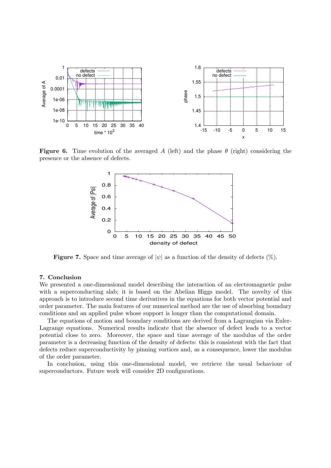

**Figure 6.** Time evolution of the averaged A (left) and the phase  $\theta$  (right) considering the presence or the absence of defects.



**Figure 7.** Space and time average of  $|\psi|$  as a function of the density of defects  $(\%)$ .

#### 7. Conclusion

We presented a one-dimensional model describing the interaction of an electromagnetic pulse with a superconducting slab; it is based on the Abelian Higgs model. The novelty of this approach is to introduce second time derivatives in the equations for both vector potential and order parameter. The main features of our numerical method are the use of absorbing boundary conditions and an applied pulse whose support is longer than the computational domain.

The equations of motion and boundary conditions are derived from a Lagrangian via Euler-Lagrange equations. Numerical results indicate that the absence of defect leads to a vector potential close to zero. Moreover, the space and time average of the modulus of the order parameter is a decreasing function of the density of defects: this is consistent with the fact that defects reduce superconductivity by pinning vortices and, as a consequence, lower the modulus of the order parameter.

In conclusion, using this one-dimensional model, we retrieve the usual behaviour of superconductors. Future work will consider 2D configurations.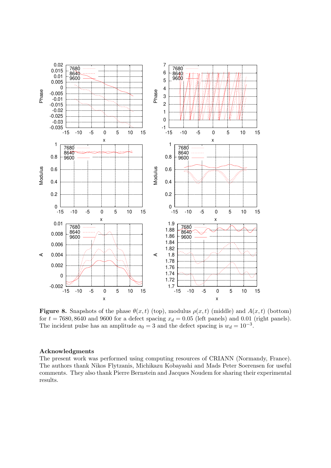

**Figure 8.** Snapshots of the phase  $\theta(x,t)$  (top), modulus  $\rho(x,t)$  (middle) and  $A(x,t)$  (bottom) for  $t = 7680, 8640$  and 9600 for a defect spacing  $x_d = 0.05$  (left panels) and 0.01 (right panels). The incident pulse has an amplitude  $a_0 = 3$  and the defect spacing is  $w_d = 10^{-3}$ .

#### Acknowledgments

The present work was performed using computing resources of CRIANN (Normandy, France). The authors thank Nikos Flytzanis, Michikazu Kobayashi and Mads Peter Soerensen for useful comments. They also thank Pierre Bernstein and Jacques Noudem for sharing their experimental results.